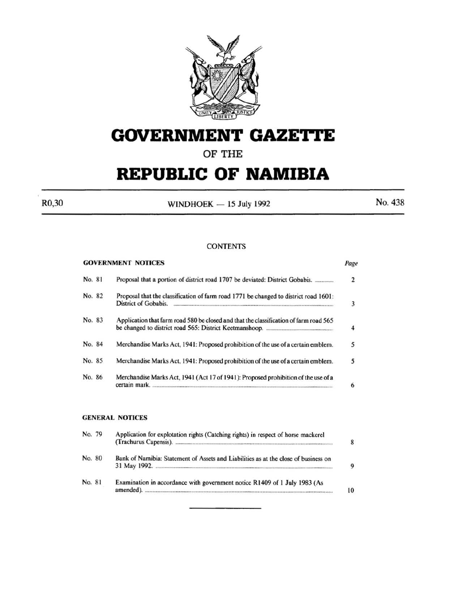

# **GOVERNMENT GAZETTE**

OF THE

# **REPUBLIC OF NAMIBIA**

 $R0,30$  WINDHOEK - 15 July 1992 No. 438

### **CONTENTS**

| <b>GOVERNMENT NOTICES</b> |  |                                                                                                              |   |  |
|---------------------------|--|--------------------------------------------------------------------------------------------------------------|---|--|
| No. 81                    |  |                                                                                                              | 2 |  |
| No. 82                    |  | Proposal that the classification of farm road 1771 be changed to district road 1601:<br>District of Gobabis. | 3 |  |
| No. 83                    |  | Application that farm road 580 be closed and that the classification of farm road 565                        | 4 |  |
| No. 84                    |  | Merchandise Marks Act, 1941: Proposed prohibition of the use of a certain emblem.                            |   |  |
| No. 85                    |  | Merchandise Marks Act, 1941: Proposed prohibition of the use of a certain emblem.                            |   |  |
| No. 86                    |  | Merchandise Marks Act, 1941 (Act 17 of 1941): Proposed prohibition of the use of a<br>certain mark           | 6 |  |

#### GENERAL NOTICES

| No. 79 | Application for explotation rights (Catching rights) in respect of horse mackerel      | $\mathbf Q$ |
|--------|----------------------------------------------------------------------------------------|-------------|
| No. 80 | Bank of Namibia: Statement of Assets and Liabilities as at the close of business on    | Q           |
| No. 81 | Examination in accordance with government notice R1409 of 1 July 1983 (As<br>amended). | 10          |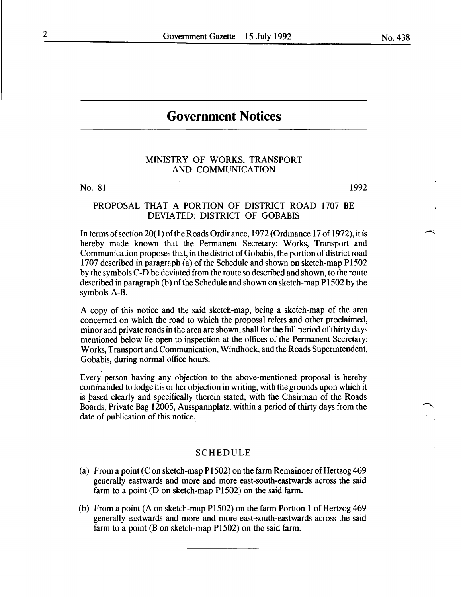## **Government Notices**

#### MINISTRY OF WORKS, TRANSPORT AND COMMUNICATION

No. 81

1992

#### PROPOSAL THAT A PORTION OF DISTRICT ROAD 1707 BE DEVIATED: DISTRICT OF GOBABIS

In terms of section 20( 1) of the Roads Ordinance, 1972 (Ordinance 17 of 1972), it is hereby made known that the Permanent Secretary: Works, Transport and Communication proposes that, in the district of Gobabis, the portion of district road 1707 described in paragraph (a) of the Schedule and shown on sketch-map P1502 by the symbols C-D be deviated from the route so described and shown, to the route described in paragraph (b) of the Schedule and shown on sketch-map P1502 by the symbols A-B.

A copy of this notice and the said sketch-map, being a sketch-map of the area concerned on which the road to which the proposal refers and other proclaimed, minor and private roads in the area are shown, shall for the full period of thirty days mentioned below lie open to inspection at the offices of the Permanent Secretary: Works, Transport and Communication, Windhoek, and the Roads Superintendent, Gobabis, during normal office hours.

Every person having any objection to the above-mentioned proposal is hereby commanded to lodge his or her objection in writing, with the grounds upon which it is pased clearly and specifically therein stated, with the Chairman of the Roads Boards, Private Bag 12005, Ausspannplatz, within a period of thirty days from the date of publication of this notice.

#### SCHEDULE

- (a) From a point (C on sketch-map  $P1502$ ) on the farm Remainder of Hertzog 469 generally eastwards and more and more east-south-eastwards across the said farm to a point ( $D$  on sketch-map P1502) on the said farm.
- (b) From a point (A on sketch-map P1502) on the farm Portion 1 of Hertzog 469 generally eastwards and more and more east-south-eastwards across the said farm to a point  $(B \text{ on sketch-map } P1502)$  on the said farm.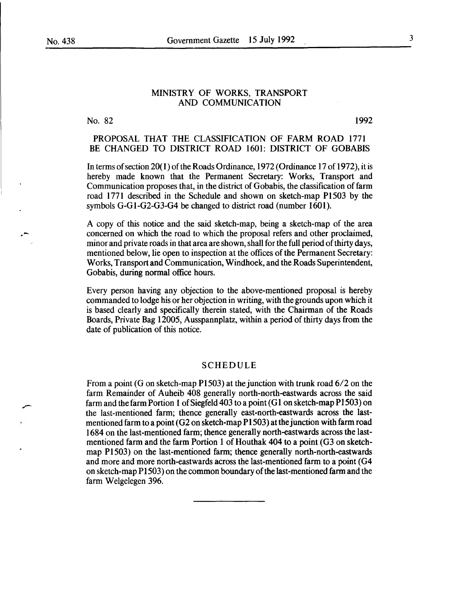#### MINISTRY OF WORKS, TRANSPORT AND COMMUNICATION

No. 82

1992

#### PROPOSAL THAT THE CLASSIFICATION OF FARM ROAD 1771 BE CHANGED TO DISTRICT ROAD 1601: DISTRICT OF GOBABIS

In terms of section 20(I) of the Roads Ordinance, I972 (Ordinance I7 of I972), it is hereby made known that the Permanent Secretary: Works, Transport and Communication proposes that, in the district of Gobabis, the classification of farm road I771 described in the Schedule and shown on sketch-map P1503 by the symbols G-GI-G2-G3-G4 be changed to district road (number I60I).

A copy of this notice and the said sketch-map, being a sketch-map of the area concerned on which the road to which the proposal refers and other proclaimed, minor and private roads in that area are shown, shall for the full period of thirty days, mentioned below, lie open to inspection at the offices of the Permanent Secretary: Works, Transport and Communication, Windhoek, and the Roads Superintendent, Gobabis, during normal office hours.

Every person having any objection to the above-mentioned proposal is hereby commanded to lodge his or her objection in writing, with the grounds upon which it is based clearly and specifically therein stated, with the Chairman of the Roads Boards, Private Bag I2005, Ausspannplatz, within a period of thirty days from the date of publication of this notice.

#### SCHEDULE

From a point (G on sketch-map PIS03) at the junction with trunk road 6/2 on the farm Remainder of Auheib 408 generally north-north-eastwards across the said farm and the farm Portion 1 of Siegfeld 403 to a point ( $G1$  on sketch-map P1503) on the last-mentioned farm; thence generally east-north-eastwards across the lastmentioned farm to a point (G2 on sketch-map PI 503) at the junction with farm road I684 on the last-mentioned farm; thence generally north-eastwards across the lastmentioned farm and the farm Portion I of Houthak 404 to a point (G3 on sketchmap PI 503) on the last-mentioned farm; thence generally north-north-eastwards and more and more north-eastwards across the last-mentioned farm to a point (G4 on sketch-map PIS03) on the common boundary ofthe last-mentioned farm and the farm Welgelegen 396.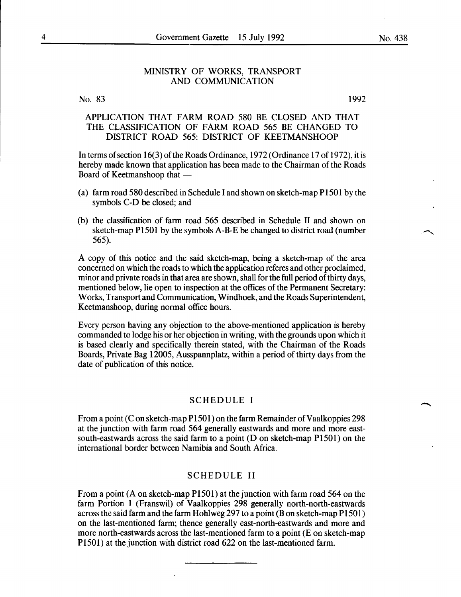#### MINISTRY OF WORKS, TRANSPORT AND COMMUNICATION

No. 83

1992

#### APPLICATION THAT FARM ROAD 580 BE CLOSED AND THAT THE CLASSIFICATION OF FARM ROAD 565 BE CHANGED TO DISTRICT ROAD 565: DISTRICT OF KEETMANSHOOP

In terms of section 16(3) of the Roads Ordinance, 1972 (Ordinance 17 of 1972), it is hereby made known that application has been made to the Chairman of the Roads Board of Keetmanshoop that -

- (a) farm road 580 described in Schedule I and shown on sketch-map P 1501 by the symbols C-D be closed; and
- (b) the classification of farm road 565 described in Schedule II and shown on sketch-map Pl501 by the symbols A-B-E be changed to district road (number 565).

A copy of this notice and the said sketch-map, being a sketch-map of the area concerned on which the roads to which the application referes and other proclaimed, minor and private roads in that area are shown, shall for the full period of thirty days, mentioned below, lie open to inspection at the offices of the Permanent Secretary: Works, Transport and Communication, Windhoek, and the Roads Superintendent, Keetmanshoop, during normal office hours.

Every person having any objection to the above-mentioned application is hereby commanded to lodge his or her objection in writing, with the grounds upon which it is based clearly and specifically therein stated, with the Chairman of the Roads Boards, Private Bag 12005, Ausspannplatz, within a period of thirty days from the date of publication of this notice.

#### SCHEDULE I

From a point (C on sketch-map P1501) on the farm Remainder of Vaalkoppies 298 at the junction with farm road 564 generally eastwards and more and more eastsouth-eastwards across the said farm to a point (D on sketch-map P1501) on the international border between Namibia and South Africa.

#### SCHEDULE II

From a point (A on sketch-map Pl501) at the junction with farm road 564 on the farm Portion 1 (Franswil) of Vaalkoppies 298 generally north-north-eastwards across the said farm and the farm Hohlweg 297 to a point (B on sketch-map  $P1501$ ) on the last-mentioned farm; thence generally east-north-eastwards and more and more north-eastwards across the last-mentioned farm to a point (E on sketch-map P1501) at the junction with district road 622 on the last-mentioned farm.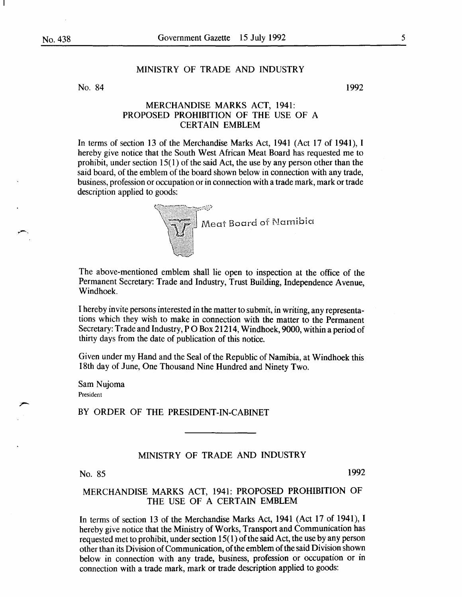#### MINISTRY OF TRADE AND INDUSTRY

No. 84

1992

#### MERCHANDISE MARKS ACT, 1941: PROPOSED PROHIBITION OF THE USE OF A CERTAIN EMBLEM

In terms of section 13 of the Merchandise Marks Act, 1941 (Act 17 of 1941), I hereby give notice that the South West African Meat Board has requested me to prohibit, under section  $15(1)$  of the said Act, the use by any person other than the said board, of the emblem of the board shown below in connection with any trade, business, profession or occupation or in connection with a trade mark, mark or trade description applied to goods:



The above-mentioned emblem shall lie open to inspection at the office of the Permanent Secretary: Trade and Industry, Trust Building, Independence Avenue, Windhoek.

I hereby invite persons interested in the matter to submit, in writing, any representations which they wish to make in connection with the matter to the Permanent Secretary: Trade and Industry, P 0 Box 21214, Windhoek, 9000, within a period of thirty days from the date of publication of this notice.

Given under my Hand and the Seal of the Republic of Namibia, at Windhoek this 18th day of June, One Thousand Nine Hundred and Ninety Two.

Sam Nujoma President

BY ORDER OF THE PRESIDENT-IN-CABINET

#### MINISTRY OF TRADE AND INDUSTRY

No. 85 1992

#### MERCHANDISE MARKS ACT, 1941: PROPOSED PROHIBITION OF THE USE OF A CERTAIN EMBLEM

In terms of section 13 of the Merchandise Marks Act, 1941 (Act 17 of 1941), I hereby give notice that the Ministry of Works, Transport and Communication has requested met to prohibit, under section 15( 1) of the said Act, the use by any person other than its Division of Communication, of the emblem of the said Division shown below in connection with any trade, business, profession or occupation or in connection with a trade mark, mark or trade description applied to goods: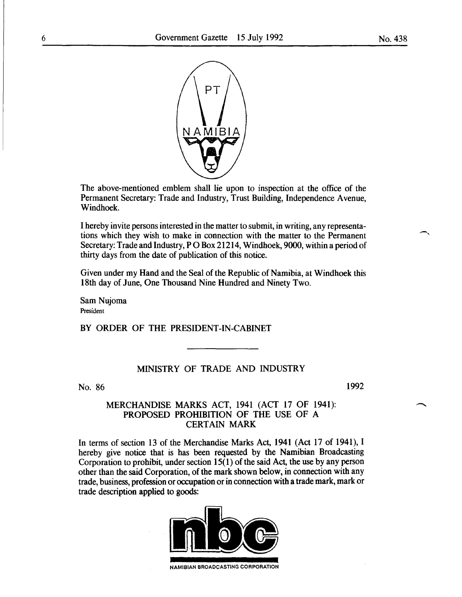

The above-mentioned emblem shall lie upon to inspection at the office of the Permanent Secretary: Trade and Industry, Trust Building, Independence Avenue, Windhoek.

I hereby invite persons interested in the matter to submit, in writing, any representations which they wish to make in connection with the matter to the Permanent Secretary: Trade and Industry, P 0 Box 21214, Windhoek, 9000, within a period of thirty days from the date of publication of this notice.

Given under my Hand and the Seal of the Republic of Namibia, at Windhoek this 18th day of June, One Thousand Nine Hundred and Ninety Two.

Sam Nujoma President

BY ORDER OF THE PRESIDENT-IN-CABINET

#### MINISTRY OF TRADE AND INDUSTRY

No. 86

1992

#### MERCHANDISE MARKS ACT, 1941 (ACT 17 OF 1941): PROPOSED PROHIBITION OF THE USE OF A CERTAIN MARK

In terms of section 13 of the Merchandise Marks Act, 1941 (Act 17 of 1941 ), I hereby give notice that is has been requested by the Namibian Broadcasting Corporation to prohibit, under section 15(1) of the said Act, the use by any person other than the said Corporation, of the mark shown below, in connection with any trade, business, profession or occupation or in connection with a trade mark, mark or trade description applied to goods:



NAMIBIAN BROADCASTING CORPORATION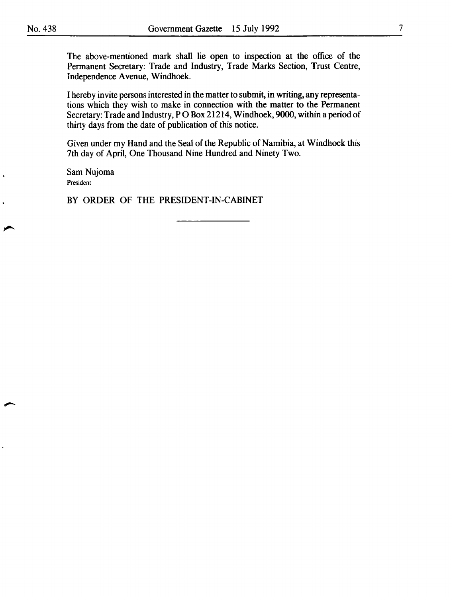The above-mentioned mark shall lie open to inspection at the office of the Permanent Secretary: Trade and Industry, Trade Marks Section, Trust Centre, Independence A venue, Windhoek.

I hereby invite persons interested in the matter to submit, in writing, any representations which they wish to make in connection with the matter to the Permanent Secretary: Trade and Industry, P 0 Box 21214, Windhoek, 9000, within a period of thirty days from the date of publication of this notice.

Given under my Hand and the Seal of the Republic of Namibia, at Windhoek this 7th day of April, One Thousand Nine Hundred and Ninety Two.

Sam Nujoma President

BY ORDER OF THE PRESIDENT-IN-CABINET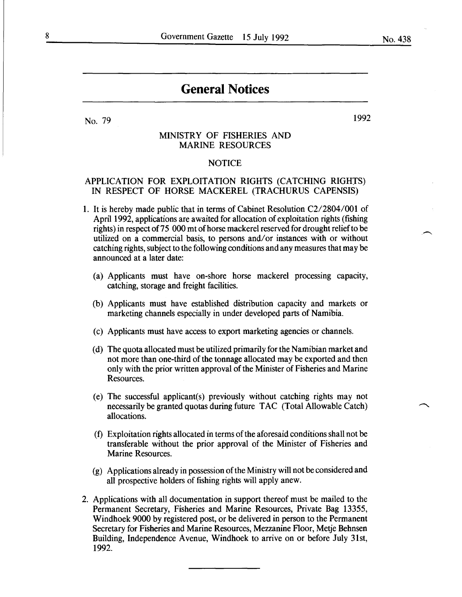## **General Notices**

No. 79

1992

#### MINISTRY OF FISHERIES AND MARINE RESOURCES

#### NOTICE

#### APPLICATION FOR EXPLOITATION RIGHTS (CATCHING RIGHTS) IN RESPECT OF HORSE MACKEREL (TRACHURUS CAPENSIS)

- 1. It is hereby made public that in terms of Cabinet Resolution C2/2804/001 of April 1992, applications are awaited for allocation of exploitation rights (fishing rights) in respect of75 000 mt of horse mackerel reserved for drought relief to be utilized on a commercial basis, to persons and/or instances with or without catching rights, subject to the following conditions and any measures that may be announced at a later date:
	- (a) Applicants must have on-shore horse mackerel processing capacity, catching, storage and freight facilities.
	- (b) Applicants must have established distribution capacity and markets or marketing channels especially in under developed parts of Namibia.
	- (c) Applicants must have access to export marketing agencies or channels.
	- (d) The quota allocated must be utilized primarily for the Namibian market and not more than one-third of the tonnage allocated may be exported and then only with the prior written approval of the Minister of Fisheries and Marine Resources.
	- (e) The successful applicant(s) previously without catching rights may not necessarily be granted quotas during future TAC (Total Allowable Catch) allocations.
	- (f) Exploitation rights allocated in terms of the aforesaid conditions shall not be transferable without the prior approval of the Minister of Fisheries and Marine Resources.
	- (g) Applications already in possession of the Ministry will not be considered and all prospective holders of fishing rights will apply anew.
- 2. Applications with all documentation in support thereof must be mailed to the Permanent Secretary, Fisheries and Marine Resources, Private Bag 13355, Windhoek 9000 by registered post, or be delivered in person to the Permanent Secretary for Fisheries and Marine Resources, Mezzanine Floor, Metje Behnsen Building, Independence Avenue, Windhoek to arrive on or before July 31st, 1992.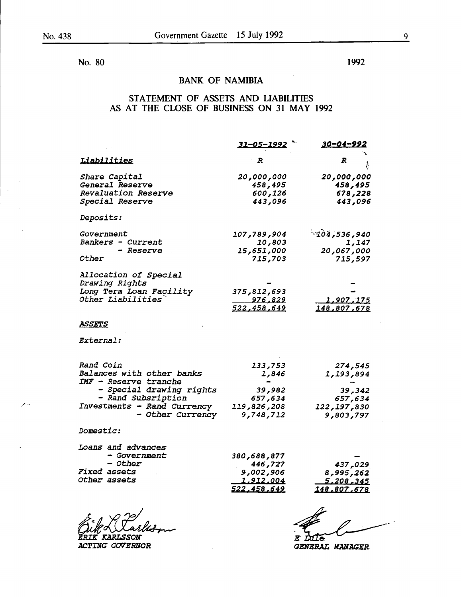/--

No. 80

1992

### BANK OF NAMIBIA

#### STATEMENT OF ASSETS AND LIABILITIES AS AT THE CLOSE OF BUSINESS ON 31 MAY 1992

|                             | 31-05-1992       | 30-04-992        |
|-----------------------------|------------------|------------------|
| <u>Liabilities</u>          | R                | R                |
| Share Capital               | 20,000,000       | 000, 000, 20     |
| General Reserve             | 458,495          | 458,495          |
| Revaluation Reserve         | 600,126          | 678,228          |
| Special Reserve             | 443,096          | 443,096          |
| <i>Deposits:</i>            |                  |                  |
| <i><b>Government</b></i>    | 107,789,904      | $-104, 536, 940$ |
| Bankers - Current           | 10,803           | 1,147            |
| - Reserve                   | 15,651,000       | 20,067,000       |
| Other                       | 715,703          | 715,597          |
| Allocation of Special       |                  |                  |
| Drawing Rights              |                  |                  |
| Long Term Loan Facility     | 375,812,693      |                  |
| Other Liabilities           | <u>976,829</u>   | <u>1,907,175</u> |
|                             | 522,458,649      | 148,807,678      |
| <u>ASSETS</u>               |                  |                  |
| <i>External:</i>            |                  |                  |
| <i>Rand Coin</i>            |                  |                  |
| Balances with other banks   | 133,753<br>1,846 | 274,545          |
| IMF - Reserve tranche       |                  | 1,193,894        |
| - Special drawing rights    | 39,982           | 39,342           |
| - Rand Subsription          | 657,634          | 657,634          |
| Investments - Rand Currency | 119,826,208      | 122, 197, 830    |
| - Other Currency            | 9,748,712        | 9,803,797        |
| <i>Domestic:</i>            |                  |                  |
| <i>Loans and advances</i>   |                  |                  |
| - Government                | 380,688,877      |                  |
| - Other                     | 446,727          | 437,029          |
| <i>Fixed assets</i>         | 9,002,906        | 8,995,262        |
| Other assets                | <u>1,912,004</u> | 5,208,345        |
|                             | 522,458,649      | 148,807,678      |
|                             |                  |                  |

d:J~ *ACTING GOVERNOR* 

E Lile

**GENERAL MANAGER**